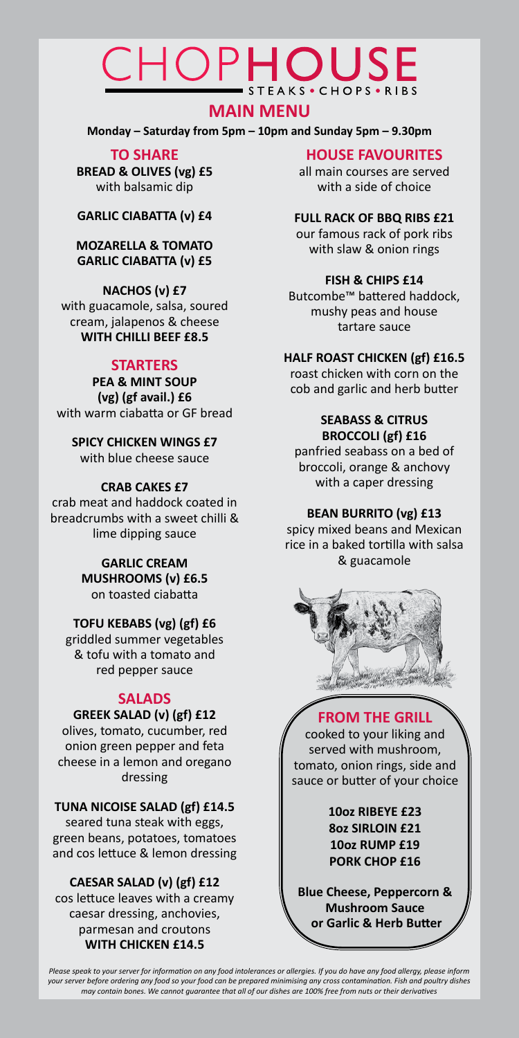# **TO SHARE**

**BREAD & OLIVES (vg) £5** with balsamic dip

**GARLIC CIABATTA (v) £4**

### **MOZARELLA & TOMATO GARLIC CIABATTA (v) £5**

# **NACHOS (v) £7**

with guacamole, salsa, soured cream, jalapenos & cheese **WITH CHILLI BEEF £8.5**

# **STARTERS**

**PEA & MINT SOUP (vg) (gf avail.) £6** with warm ciabatta or GF bread

#### **SPICY CHICKEN WINGS £7** with blue cheese sauce

# **CRAB CAKES £7**

crab meat and haddock coated in breadcrumbs with a sweet chilli & lime dipping sauce

> **GARLIC CREAM MUSHROOMS (v) £6.5** on toasted ciabatta

# **TOFU KEBABS (vg) (gf) £6**

griddled summer vegetables & tofu with a tomato and red pepper sauce

# **SALADS**

# **GREEK SALAD (v) (gf) £12**

olives, tomato, cucumber, red onion green pepper and feta cheese in a lemon and oregano dressing

**TUNA NICOISE SALAD (gf) £14.5** seared tuna steak with eggs,

green beans, potatoes, tomatoes and cos lettuce & lemon dressing

#### **CAESAR SALAD (v) (gf) £12** cos lettuce leaves with a creamy caesar dressing, anchovies, parmesan and croutons **WITH CHICKEN £14.5**

# **HOUSE FAVOURITES**

all main courses are served with a side of choice

# **FULL RACK OF BBQ RIBS £21**

our famous rack of pork ribs with slaw & onion rings

### **FISH & CHIPS £14**

Butcombe™ battered haddock, mushy peas and house tartare sauce

# **HALF ROAST CHICKEN (gf) £16.5**

roast chicken with corn on the cob and garlic and herb butter

### **SEABASS & CITRUS BROCCOLI (gf) £16**

panfried seabass on a bed of broccoli, orange & anchovy with a caper dressing

# **BEAN BURRITO (vg) £13**

spicy mixed beans and Mexican rice in a baked tortilla with salsa & guacamole



# CHOPHOUSE STEAKS · CHOPS · RIBS

# **MAIN MENU**

**Monday – Saturday from 5pm – 10pm and Sunday 5pm – 9.30pm**

# **FROM THE GRILL**

cooked to your liking and served with mushroom, tomato, onion rings, side and sauce or butter of your choice

# **10oz RIBEYE £23**



*Please speak to your server for information on any food intolerances or allergies. If you do have any food allergy, please inform your server before ordering any food so your food can be prepared minimising any cross contamination. Fish and poultry dishes may contain bones. We cannot guarantee that all of our dishes are 100% free from nuts or their derivatives*